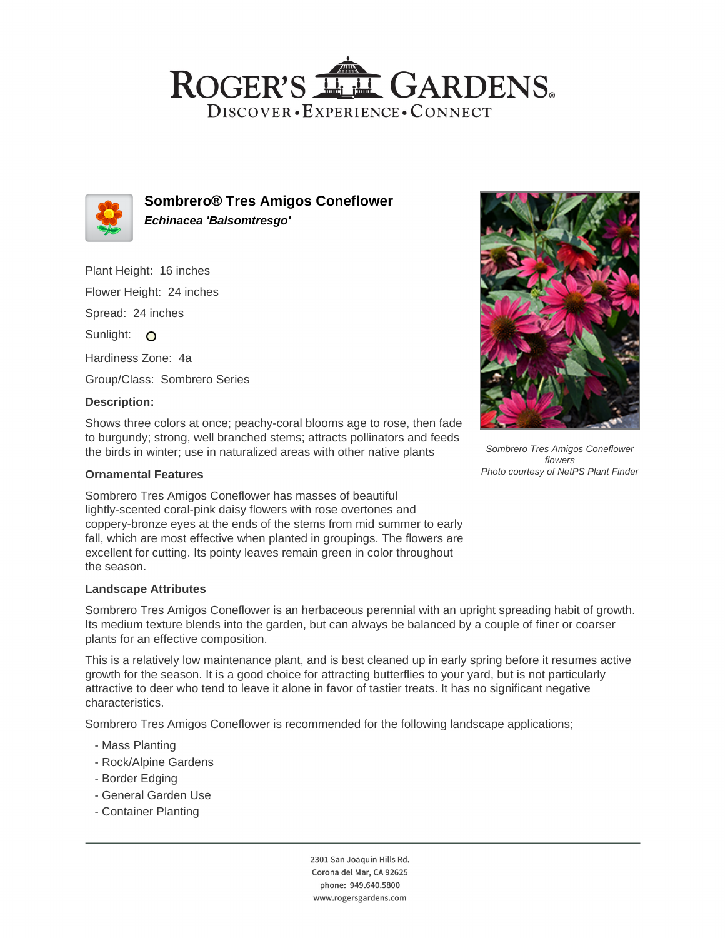# ROGER'S LL GARDENS. DISCOVER · EXPERIENCE · CONNECT



**Sombrero® Tres Amigos Coneflower Echinacea 'Balsomtresgo'**

Plant Height: 16 inches Flower Height: 24 inches Spread: 24 inches Sunlight: O Hardiness Zone: 4a Group/Class: Sombrero Series

#### **Description:**

Shows three colors at once; peachy-coral blooms age to rose, then fade to burgundy; strong, well branched stems; attracts pollinators and feeds the birds in winter; use in naturalized areas with other native plants

#### **Ornamental Features**

Sombrero Tres Amigos Coneflower has masses of beautiful lightly-scented coral-pink daisy flowers with rose overtones and coppery-bronze eyes at the ends of the stems from mid summer to early fall, which are most effective when planted in groupings. The flowers are excellent for cutting. Its pointy leaves remain green in color throughout the season.

## **Landscape Attributes**

Sombrero Tres Amigos Coneflower is an herbaceous perennial with an upright spreading habit of growth. Its medium texture blends into the garden, but can always be balanced by a couple of finer or coarser plants for an effective composition.

This is a relatively low maintenance plant, and is best cleaned up in early spring before it resumes active growth for the season. It is a good choice for attracting butterflies to your yard, but is not particularly attractive to deer who tend to leave it alone in favor of tastier treats. It has no significant negative characteristics.

Sombrero Tres Amigos Coneflower is recommended for the following landscape applications;

- Mass Planting
- Rock/Alpine Gardens
- Border Edging
- General Garden Use
- Container Planting

2301 San Joaquin Hills Rd. Corona del Mar, CA 92625 phone: 949.640.5800 www.rogersgardens.com



Sombrero Tres Amigos Coneflower flowers Photo courtesy of NetPS Plant Finder